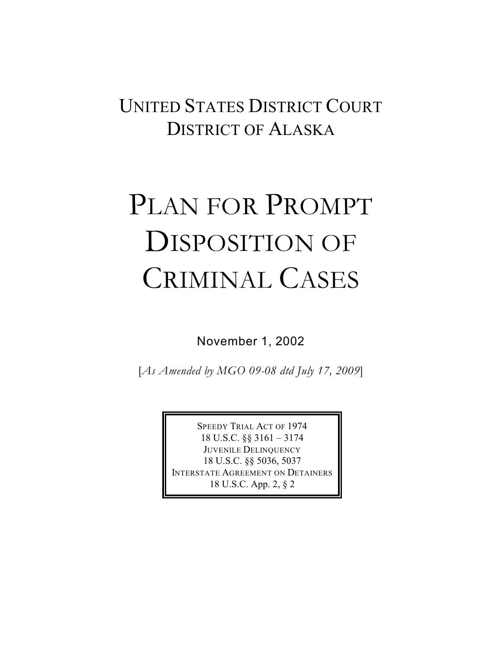# UNITED STATES DISTRICT COURT DISTRICT OF ALASKA

# PLAN FOR PROMPT DISPOSITION OF CRIMINAL CASES

November 1, 2002

[*As Amended by MGO 09-08 dtd July 17, 2009*]

SPEEDY TRIAL ACT OF 1974 18 U.S.C. §§ 3161 – 3174 JUVENILE DELINQUENCY 18 U.S.C. §§ 5036, 5037 INTERSTATE AGREEMENT ON DETAINERS 18 U.S.C. App. 2, § 2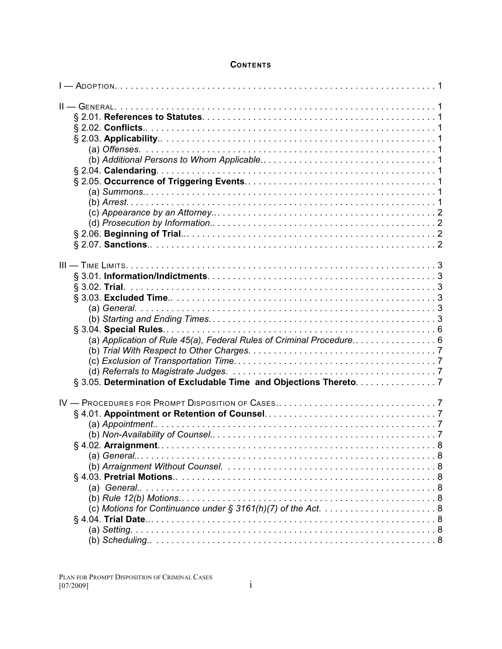#### **CONTENTS**

| § 3.05. Determination of Excludable Time and Objections Thereto. 7                                     |  |
|--------------------------------------------------------------------------------------------------------|--|
|                                                                                                        |  |
|                                                                                                        |  |
|                                                                                                        |  |
|                                                                                                        |  |
|                                                                                                        |  |
|                                                                                                        |  |
|                                                                                                        |  |
|                                                                                                        |  |
|                                                                                                        |  |
|                                                                                                        |  |
|                                                                                                        |  |
| (c) Motions for Continuance under § 3161(h)(7) of the Act. $\ldots \ldots \ldots \ldots \ldots \ldots$ |  |
|                                                                                                        |  |
|                                                                                                        |  |
|                                                                                                        |  |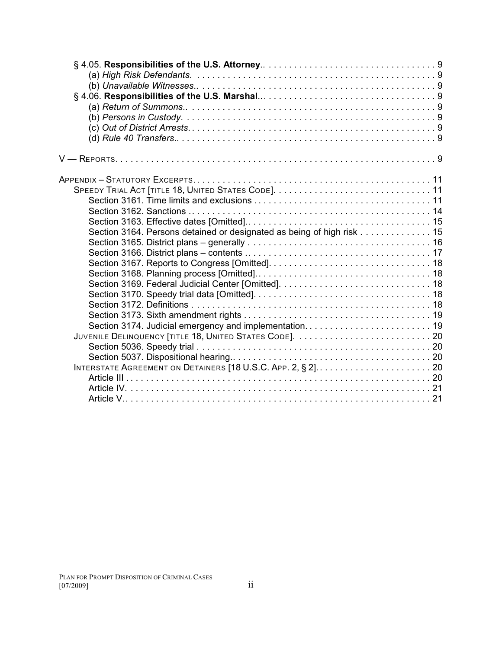| SPEEDY TRIAL ACT [TITLE 18, UNITED STATES CODE].  11                  |  |
|-----------------------------------------------------------------------|--|
|                                                                       |  |
|                                                                       |  |
|                                                                       |  |
| Section 3164. Persons detained or designated as being of high risk 15 |  |
|                                                                       |  |
|                                                                       |  |
|                                                                       |  |
|                                                                       |  |
|                                                                       |  |
|                                                                       |  |
|                                                                       |  |
|                                                                       |  |
|                                                                       |  |
| JUVENILE DELINQUENCY [TITLE 18, UNITED STATES CODE].  20              |  |
|                                                                       |  |
|                                                                       |  |
|                                                                       |  |
|                                                                       |  |
|                                                                       |  |
|                                                                       |  |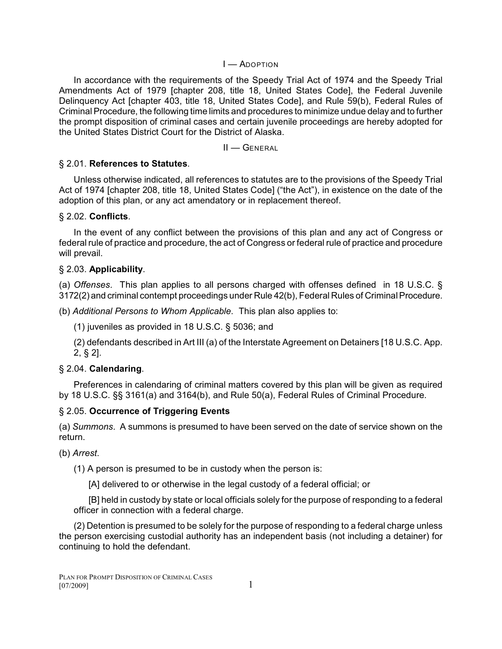#### I — ADOPTION

In accordance with the requirements of the Speedy Trial Act of 1974 and the Speedy Trial Amendments Act of 1979 [chapter 208, title 18, United States Code], the Federal Juvenile Delinquency Act [chapter 403, title 18, United States Code], and Rule 59(b), Federal Rules of Criminal Procedure, the following time limits and procedures to minimize undue delay and to further the prompt disposition of criminal cases and certain juvenile proceedings are hereby adopted for the United States District Court for the District of Alaska.

II — GENERAL

#### § 2.01. **References to Statutes**.

Unless otherwise indicated, all references to statutes are to the provisions of the Speedy Trial Act of 1974 [chapter 208, title 18, United States Code] ("the Act"), in existence on the date of the adoption of this plan, or any act amendatory or in replacement thereof.

#### § 2.02. **Conflicts**.

In the event of any conflict between the provisions of this plan and any act of Congress or federal rule of practice and procedure, the act of Congress or federal rule of practice and procedure will prevail.

#### § 2.03. **Applicability**.

(a) *Offenses*. This plan applies to all persons charged with offenses defined in 18 U.S.C. § 3172(2) and criminal contempt proceedings under Rule 42(b), Federal Rules of Criminal Procedure.

(b) *Additional Persons to Whom Applicable*. This plan also applies to:

(1) juveniles as provided in 18 U.S.C. § 5036; and

(2) defendants described in Art III (a) of the Interstate Agreement on Detainers [18 U.S.C. App. 2, § 2].

#### § 2.04. **Calendaring**.

Preferences in calendaring of criminal matters covered by this plan will be given as required by 18 U.S.C. §§ 3161(a) and 3164(b), and Rule 50(a), Federal Rules of Criminal Procedure.

#### § 2.05. **Occurrence of Triggering Events**

(a) *Summons*. A summons is presumed to have been served on the date of service shown on the return.

(b) *Arrest*.

(1) A person is presumed to be in custody when the person is:

[A] delivered to or otherwise in the legal custody of a federal official; or

[B] held in custody by state or local officials solely for the purpose of responding to a federal officer in connection with a federal charge.

(2) Detention is presumed to be solely for the purpose of responding to a federal charge unless the person exercising custodial authority has an independent basis (not including a detainer) for continuing to hold the defendant.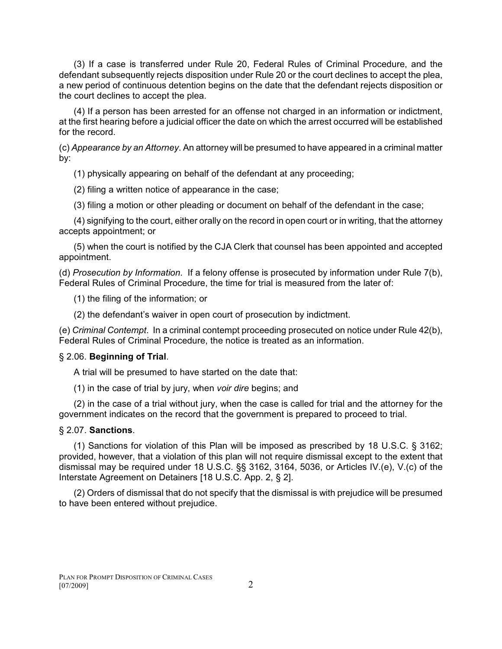(3) If a case is transferred under Rule 20, Federal Rules of Criminal Procedure, and the defendant subsequently rejects disposition under Rule 20 or the court declines to accept the plea, a new period of continuous detention begins on the date that the defendant rejects disposition or the court declines to accept the plea.

(4) If a person has been arrested for an offense not charged in an information or indictment, at the first hearing before a judicial officer the date on which the arrest occurred will be established for the record.

(c) *Appearance by an Attorney*. An attorney will be presumed to have appeared in a criminal matter by:

(1) physically appearing on behalf of the defendant at any proceeding;

(2) filing a written notice of appearance in the case;

(3) filing a motion or other pleading or document on behalf of the defendant in the case;

(4) signifying to the court, either orally on the record in open court or in writing, that the attorney accepts appointment; or

(5) when the court is notified by the CJA Clerk that counsel has been appointed and accepted appointment.

(d) *Prosecution by Information*. If a felony offense is prosecuted by information under Rule 7(b), Federal Rules of Criminal Procedure, the time for trial is measured from the later of:

(1) the filing of the information; or

(2) the defendant's waiver in open court of prosecution by indictment.

(e) *Criminal Contempt*. In a criminal contempt proceeding prosecuted on notice under Rule 42(b), Federal Rules of Criminal Procedure, the notice is treated as an information.

#### § 2.06. **Beginning of Trial**.

A trial will be presumed to have started on the date that:

(1) in the case of trial by jury, when *voir dire* begins; and

(2) in the case of a trial without jury, when the case is called for trial and the attorney for the government indicates on the record that the government is prepared to proceed to trial.

#### § 2.07. **Sanctions**.

(1) Sanctions for violation of this Plan will be imposed as prescribed by 18 U.S.C. § 3162; provided, however, that a violation of this plan will not require dismissal except to the extent that dismissal may be required under 18 U.S.C. §§ 3162, 3164, 5036, or Articles IV.(e), V.(c) of the Interstate Agreement on Detainers [18 U.S.C. App. 2, § 2].

(2) Orders of dismissal that do not specify that the dismissal is with prejudice will be presumed to have been entered without prejudice.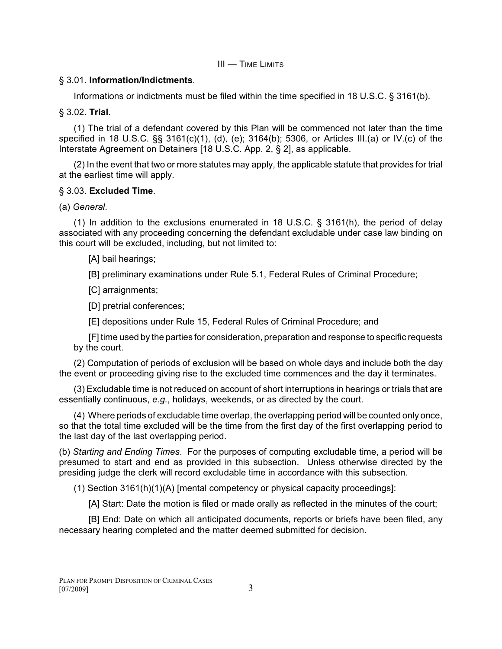#### III — TIME LIMITS

#### § 3.01. **Information/Indictments**.

Informations or indictments must be filed within the time specified in 18 U.S.C. § 3161(b).

#### § 3.02. **Trial**.

(1) The trial of a defendant covered by this Plan will be commenced not later than the time specified in 18 U.S.C. §§ 3161(c)(1), (d), (e); 3164(b); 5306, or Articles III.(a) or IV.(c) of the Interstate Agreement on Detainers [18 U.S.C. App. 2, § 2], as applicable.

(2) In the event that two or more statutes may apply, the applicable statute that provides for trial at the earliest time will apply.

#### § 3.03. **Excluded Time**.

#### (a) *General*.

(1) In addition to the exclusions enumerated in 18 U.S.C.  $\S$  3161(h), the period of delay associated with any proceeding concerning the defendant excludable under case law binding on this court will be excluded, including, but not limited to:

[A] bail hearings;

[B] preliminary examinations under Rule 5.1, Federal Rules of Criminal Procedure;

[C] arraignments;

[D] pretrial conferences;

[E] depositions under Rule 15, Federal Rules of Criminal Procedure; and

[F] time used by the parties for consideration, preparation and response to specific requests by the court.

(2) Computation of periods of exclusion will be based on whole days and include both the day the event or proceeding giving rise to the excluded time commences and the day it terminates.

(3) Excludable time is not reduced on account of short interruptions in hearings or trials that are essentially continuous, *e.g.*, holidays, weekends, or as directed by the court.

(4) Where periods of excludable time overlap, the overlapping period will be counted only once, so that the total time excluded will be the time from the first day of the first overlapping period to the last day of the last overlapping period.

(b) *Starting and Ending Times*. For the purposes of computing excludable time, a period will be presumed to start and end as provided in this subsection. Unless otherwise directed by the presiding judge the clerk will record excludable time in accordance with this subsection.

(1) Section 3161(h)(1)(A) [mental competency or physical capacity proceedings]:

[A] Start: Date the motion is filed or made orally as reflected in the minutes of the court;

[B] End: Date on which all anticipated documents, reports or briefs have been filed, any necessary hearing completed and the matter deemed submitted for decision.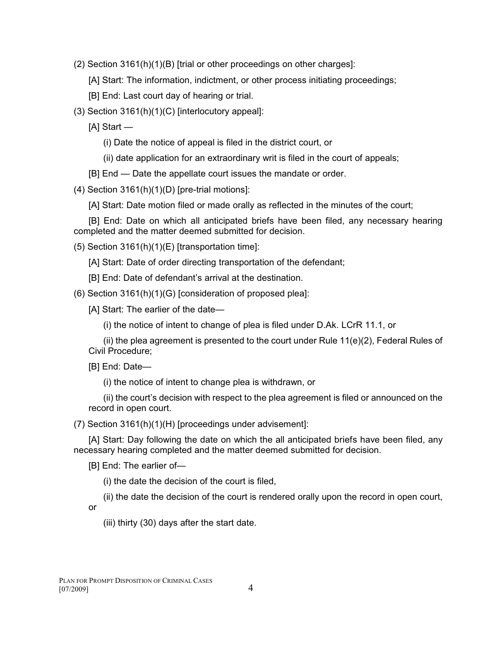(2) Section 3161(h)(1)(B) [trial or other proceedings on other charges]:

[A] Start: The information, indictment, or other process initiating proceedings;

[B] End: Last court day of hearing or trial.

(3) Section 3161(h)(1)(C) [interlocutory appeal]:

[A] Start —

(i) Date the notice of appeal is filed in the district court, or

(ii) date application for an extraordinary writ is filed in the court of appeals;

[B] End — Date the appellate court issues the mandate or order.

(4) Section 3161(h)(1)(D) [pre-trial motions]:

[A] Start: Date motion filed or made orally as reflected in the minutes of the court;

[B] End: Date on which all anticipated briefs have been filed, any necessary hearing completed and the matter deemed submitted for decision.

(5) Section  $3161(h)(1)(E)$  [transportation time]:

[A] Start: Date of order directing transportation of the defendant;

[B] End: Date of defendant's arrival at the destination.

(6) Section 3161(h)(1)(G) [consideration of proposed plea]:

[A] Start: The earlier of the date—

(i) the notice of intent to change of plea is filed under D.Ak. LCrR 11.1, or

(ii) the plea agreement is presented to the court under Rule  $11(e)(2)$ , Federal Rules of Civil Procedure;

[B] End: Date—

(i) the notice of intent to change plea is withdrawn, or

(ii) the court's decision with respect to the plea agreement is filed or announced on the record in open court.

(7) Section 3161(h)(1)(H) [proceedings under advisement]:

[A] Start: Day following the date on which the all anticipated briefs have been filed, any necessary hearing completed and the matter deemed submitted for decision.

[B] End: The earlier of—

(i) the date the decision of the court is filed,

(ii) the date the decision of the court is rendered orally upon the record in open court, or

(iii) thirty (30) days after the start date.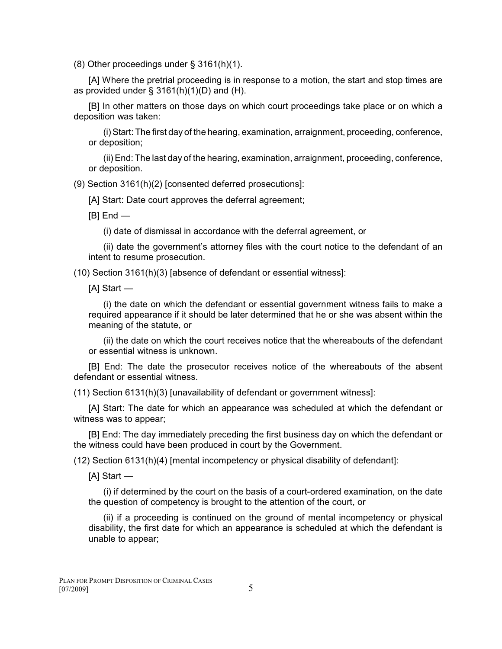(8) Other proceedings under § 3161(h)(1).

[A] Where the pretrial proceeding is in response to a motion, the start and stop times are as provided under  $\S$  3161(h)(1)(D) and (H).

[B] In other matters on those days on which court proceedings take place or on which a deposition was taken:

(i) Start: The first day of the hearing, examination, arraignment, proceeding, conference, or deposition;

(ii) End: The last day of the hearing, examination, arraignment, proceeding, conference, or deposition.

(9) Section 3161(h)(2) [consented deferred prosecutions]:

[A] Start: Date court approves the deferral agreement;

 $[B]$  End —

(i) date of dismissal in accordance with the deferral agreement, or

(ii) date the government's attorney files with the court notice to the defendant of an intent to resume prosecution.

(10) Section 3161(h)(3) [absence of defendant or essential witness]:

[A] Start —

(i) the date on which the defendant or essential government witness fails to make a required appearance if it should be later determined that he or she was absent within the meaning of the statute, or

(ii) the date on which the court receives notice that the whereabouts of the defendant or essential witness is unknown.

[B] End: The date the prosecutor receives notice of the whereabouts of the absent defendant or essential witness.

(11) Section 6131(h)(3) [unavailability of defendant or government witness]:

[A] Start: The date for which an appearance was scheduled at which the defendant or witness was to appear;

[B] End: The day immediately preceding the first business day on which the defendant or the witness could have been produced in court by the Government.

(12) Section 6131(h)(4) [mental incompetency or physical disability of defendant]:

[A] Start —

(i) if determined by the court on the basis of a court-ordered examination, on the date the question of competency is brought to the attention of the court, or

(ii) if a proceeding is continued on the ground of mental incompetency or physical disability, the first date for which an appearance is scheduled at which the defendant is unable to appear;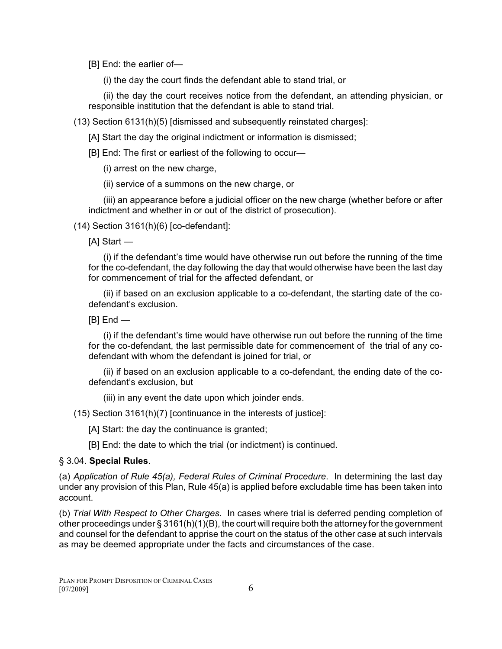[B] End: the earlier of—

(i) the day the court finds the defendant able to stand trial, or

(ii) the day the court receives notice from the defendant, an attending physician, or responsible institution that the defendant is able to stand trial.

(13) Section 6131(h)(5) [dismissed and subsequently reinstated charges]:

[A] Start the day the original indictment or information is dismissed;

[B] End: The first or earliest of the following to occur—

(i) arrest on the new charge,

(ii) service of a summons on the new charge, or

(iii) an appearance before a judicial officer on the new charge (whether before or after indictment and whether in or out of the district of prosecution).

(14) Section 3161(h)(6) [co-defendant]:

[A] Start —

(i) if the defendant's time would have otherwise run out before the running of the time for the co-defendant, the day following the day that would otherwise have been the last day for commencement of trial for the affected defendant, or

(ii) if based on an exclusion applicable to a co-defendant, the starting date of the codefendant's exclusion.

 $[**B**]$  End  $-$ 

(i) if the defendant's time would have otherwise run out before the running of the time for the co-defendant, the last permissible date for commencement of the trial of any codefendant with whom the defendant is joined for trial, or

(ii) if based on an exclusion applicable to a co-defendant, the ending date of the codefendant's exclusion, but

(iii) in any event the date upon which joinder ends.

(15) Section 3161(h)(7) [continuance in the interests of justice]:

[A] Start: the day the continuance is granted;

[B] End: the date to which the trial (or indictment) is continued.

#### § 3.04. **Special Rules**.

(a) *Application of Rule 45(a), Federal Rules of Criminal Procedure*. In determining the last day under any provision of this Plan, Rule 45(a) is applied before excludable time has been taken into account.

(b) *Trial With Respect to Other Charges*. In cases where trial is deferred pending completion of other proceedings under  $\S 3161(h)(1)(B)$ , the court will require both the attorney for the government and counsel for the defendant to apprise the court on the status of the other case at such intervals as may be deemed appropriate under the facts and circumstances of the case.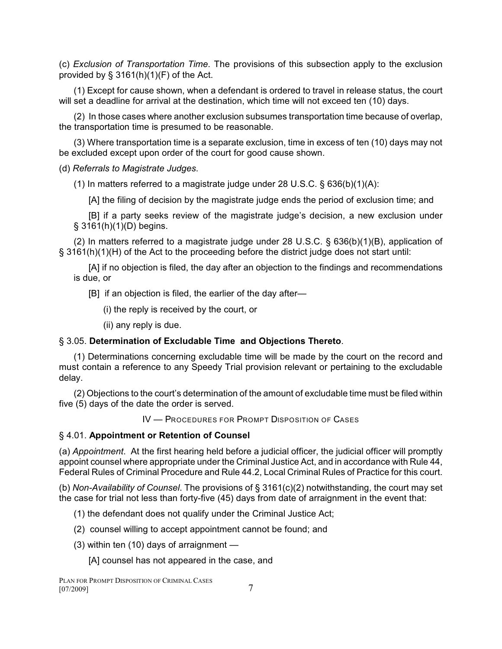(c) *Exclusion of Transportation Time*. The provisions of this subsection apply to the exclusion provided by  $\S$  3161(h)(1)(F) of the Act.

(1) Except for cause shown, when a defendant is ordered to travel in release status, the court will set a deadline for arrival at the destination, which time will not exceed ten (10) days.

(2) In those cases where another exclusion subsumes transportation time because of overlap, the transportation time is presumed to be reasonable.

(3) Where transportation time is a separate exclusion, time in excess of ten (10) days may not be excluded except upon order of the court for good cause shown.

(d) *Referrals to Magistrate Judges*.

(1) In matters referred to a magistrate judge under 28 U.S.C. § 636(b)(1)(A):

[A] the filing of decision by the magistrate judge ends the period of exclusion time; and

[B] if a party seeks review of the magistrate judge's decision, a new exclusion under § 3161(h)(1)(D) begins.

(2) In matters referred to a magistrate judge under 28 U.S.C.  $\S$  636(b)(1)(B), application of § 3161(h)(1)(H) of the Act to the proceeding before the district judge does not start until:

[A] if no objection is filed, the day after an objection to the findings and recommendations is due, or

[B] if an objection is filed, the earlier of the day after—

(i) the reply is received by the court, or

(ii) any reply is due.

#### § 3.05. **Determination of Excludable Time and Objections Thereto**.

(1) Determinations concerning excludable time will be made by the court on the record and must contain a reference to any Speedy Trial provision relevant or pertaining to the excludable delay.

(2) Objections to the court's determination of the amount of excludable time must be filed within five (5) days of the date the order is served.

IV — PROCEDURES FOR PROMPT DISPOSITION OF CASES

#### § 4.01. **Appointment or Retention of Counsel**

(a) *Appointment*. At the first hearing held before a judicial officer, the judicial officer will promptly appoint counsel where appropriate under the Criminal Justice Act, and in accordance with Rule 44, Federal Rules of Criminal Procedure and Rule 44.2, Local Criminal Rules of Practice for this court.

(b) *Non-Availability of Counsel*. The provisions of § 3161(c)(2) notwithstanding, the court may set the case for trial not less than forty-five (45) days from date of arraignment in the event that:

- (1) the defendant does not qualify under the Criminal Justice Act;
- (2) counsel willing to accept appointment cannot be found; and
- (3) within ten (10) days of arraignment —

[A] counsel has not appeared in the case, and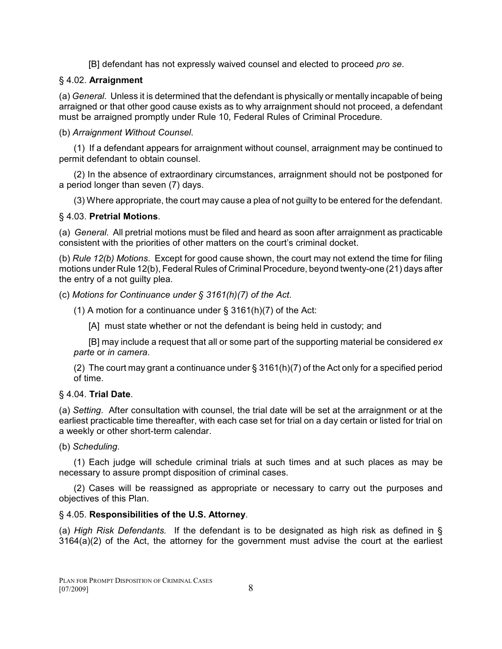[B] defendant has not expressly waived counsel and elected to proceed *pro se*.

# § 4.02. **Arraignment**

(a) *General*. Unless it is determined that the defendant is physically or mentally incapable of being arraigned or that other good cause exists as to why arraignment should not proceed, a defendant must be arraigned promptly under Rule 10, Federal Rules of Criminal Procedure.

# (b) *Arraignment Without Counsel*.

(1) If a defendant appears for arraignment without counsel, arraignment may be continued to permit defendant to obtain counsel.

(2) In the absence of extraordinary circumstances, arraignment should not be postponed for a period longer than seven (7) days.

(3) Where appropriate, the court may cause a plea of not guilty to be entered for the defendant.

# § 4.03. **Pretrial Motions**.

(a) *General*. All pretrial motions must be filed and heard as soon after arraignment as practicable consistent with the priorities of other matters on the court's criminal docket.

(b) *Rule 12(b) Motions*. Except for good cause shown, the court may not extend the time for filing motions under Rule 12(b), Federal Rules of Criminal Procedure, beyond twenty-one (21) days after the entry of a not guilty plea.

# (c) *Motions for Continuance under § 3161(h)(7) of the Act*.

(1) A motion for a continuance under  $\S 3161(h)(7)$  of the Act:

[A] must state whether or not the defendant is being held in custody; and

[B] may include a request that all or some part of the supporting material be considered *ex parte* or *in camera*.

(2) The court may grant a continuance under § 3161(h)(7) of the Act only for a specified period of time.

# § 4.04. **Trial Date**.

(a) *Setting*. After consultation with counsel, the trial date will be set at the arraignment or at the earliest practicable time thereafter, with each case set for trial on a day certain or listed for trial on a weekly or other short-term calendar.

(b) *Scheduling*.

(1) Each judge will schedule criminal trials at such times and at such places as may be necessary to assure prompt disposition of criminal cases.

(2) Cases will be reassigned as appropriate or necessary to carry out the purposes and objectives of this Plan.

# § 4.05. **Responsibilities of the U.S. Attorney**.

(a) *High Risk Defendants.* If the defendant is to be designated as high risk as defined in § 3164(a)(2) of the Act, the attorney for the government must advise the court at the earliest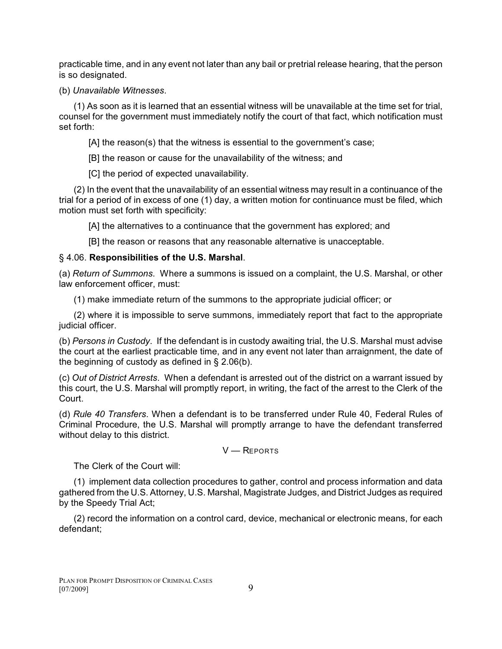practicable time, and in any event not later than any bail or pretrial release hearing, that the person is so designated.

(b) *Unavailable Witnesses*.

(1) As soon as it is learned that an essential witness will be unavailable at the time set for trial, counsel for the government must immediately notify the court of that fact, which notification must set forth:

[A] the reason(s) that the witness is essential to the government's case;

[B] the reason or cause for the unavailability of the witness; and

[C] the period of expected unavailability.

(2) In the event that the unavailability of an essential witness may result in a continuance of the trial for a period of in excess of one (1) day, a written motion for continuance must be filed, which motion must set forth with specificity:

[A] the alternatives to a continuance that the government has explored; and

[B] the reason or reasons that any reasonable alternative is unacceptable.

#### § 4.06. **Responsibilities of the U.S. Marshal**.

(a) *Return of Summons*. Where a summons is issued on a complaint, the U.S. Marshal, or other law enforcement officer, must:

(1) make immediate return of the summons to the appropriate judicial officer; or

(2) where it is impossible to serve summons, immediately report that fact to the appropriate judicial officer.

(b) *Persons in Custody*. If the defendant is in custody awaiting trial, the U.S. Marshal must advise the court at the earliest practicable time, and in any event not later than arraignment, the date of the beginning of custody as defined in § 2.06(b).

(c) *Out of District Arrests*. When a defendant is arrested out of the district on a warrant issued by this court, the U.S. Marshal will promptly report, in writing, the fact of the arrest to the Clerk of the Court.

(d) *Rule 40 Transfers*. When a defendant is to be transferred under Rule 40, Federal Rules of Criminal Procedure, the U.S. Marshal will promptly arrange to have the defendant transferred without delay to this district.

#### V — REPORTS

The Clerk of the Court will:

(1) implement data collection procedures to gather, control and process information and data gathered from the U.S. Attorney, U.S. Marshal, Magistrate Judges, and District Judges as required by the Speedy Trial Act;

(2) record the information on a control card, device, mechanical or electronic means, for each defendant;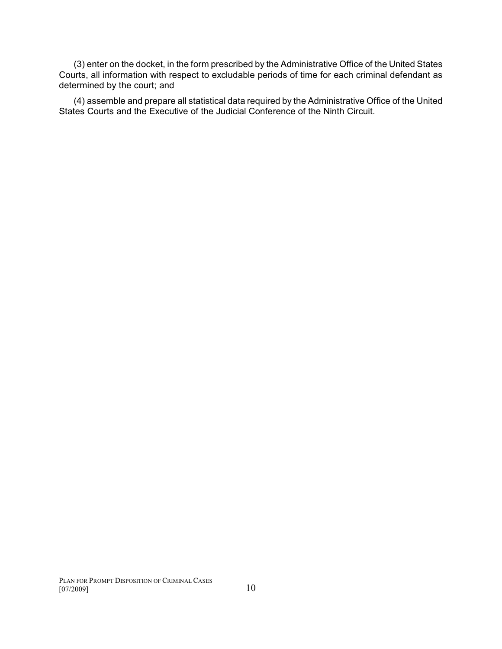(3) enter on the docket, in the form prescribed by the Administrative Office of the United States Courts, all information with respect to excludable periods of time for each criminal defendant as determined by the court; and

(4) assemble and prepare all statistical data required by the Administrative Office of the United States Courts and the Executive of the Judicial Conference of the Ninth Circuit.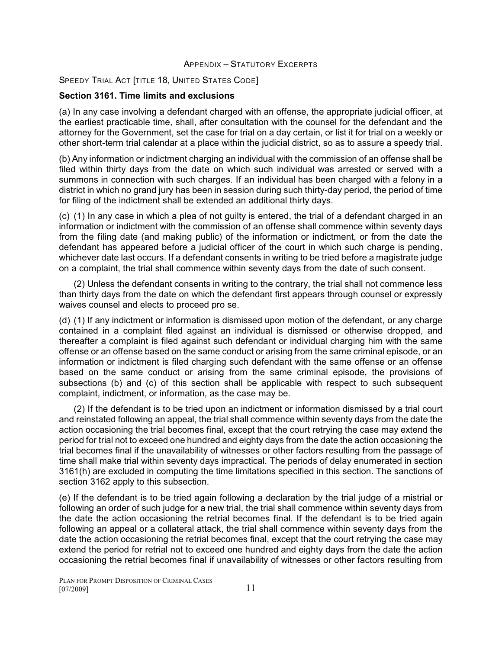#### APPENDIX – STATUTORY EXCERPTS

#### SPEEDY TRIAL ACT [TITLE 18, UNITED STATES CODE]

#### **Section 3161. Time limits and exclusions**

(a) In any case involving a defendant charged with an offense, the appropriate judicial officer, at the earliest practicable time, shall, after consultation with the counsel for the defendant and the attorney for the Government, set the case for trial on a day certain, or list it for trial on a weekly or other short-term trial calendar at a place within the judicial district, so as to assure a speedy trial.

(b) Any information or indictment charging an individual with the commission of an offense shall be filed within thirty days from the date on which such individual was arrested or served with a summons in connection with such charges. If an individual has been charged with a felony in a district in which no grand jury has been in session during such thirty-day period, the period of time for filing of the indictment shall be extended an additional thirty days.

(c) (1) In any case in which a plea of not guilty is entered, the trial of a defendant charged in an information or indictment with the commission of an offense shall commence within seventy days from the filing date (and making public) of the information or indictment, or from the date the defendant has appeared before a judicial officer of the court in which such charge is pending, whichever date last occurs. If a defendant consents in writing to be tried before a magistrate judge on a complaint, the trial shall commence within seventy days from the date of such consent.

(2) Unless the defendant consents in writing to the contrary, the trial shall not commence less than thirty days from the date on which the defendant first appears through counsel or expressly waives counsel and elects to proceed pro se.

(d) (1) If any indictment or information is dismissed upon motion of the defendant, or any charge contained in a complaint filed against an individual is dismissed or otherwise dropped, and thereafter a complaint is filed against such defendant or individual charging him with the same offense or an offense based on the same conduct or arising from the same criminal episode, or an information or indictment is filed charging such defendant with the same offense or an offense based on the same conduct or arising from the same criminal episode, the provisions of subsections (b) and (c) of this section shall be applicable with respect to such subsequent complaint, indictment, or information, as the case may be.

(2) If the defendant is to be tried upon an indictment or information dismissed by a trial court and reinstated following an appeal, the trial shall commence within seventy days from the date the action occasioning the trial becomes final, except that the court retrying the case may extend the period for trial not to exceed one hundred and eighty days from the date the action occasioning the trial becomes final if the unavailability of witnesses or other factors resulting from the passage of time shall make trial within seventy days impractical. The periods of delay enumerated in section 3161(h) are excluded in computing the time limitations specified in this section. The sanctions of section 3162 apply to this subsection.

(e) If the defendant is to be tried again following a declaration by the trial judge of a mistrial or following an order of such judge for a new trial, the trial shall commence within seventy days from the date the action occasioning the retrial becomes final. If the defendant is to be tried again following an appeal or a collateral attack, the trial shall commence within seventy days from the date the action occasioning the retrial becomes final, except that the court retrying the case may extend the period for retrial not to exceed one hundred and eighty days from the date the action occasioning the retrial becomes final if unavailability of witnesses or other factors resulting from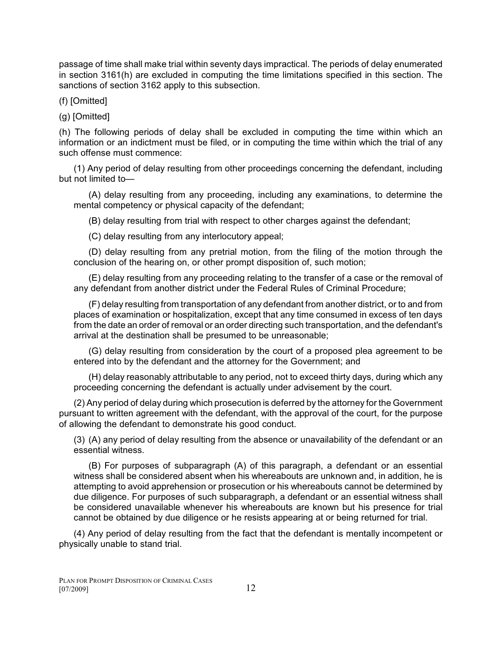passage of time shall make trial within seventy days impractical. The periods of delay enumerated in section 3161(h) are excluded in computing the time limitations specified in this section. The sanctions of section 3162 apply to this subsection.

(f) [Omitted]

(g) [Omitted]

(h) The following periods of delay shall be excluded in computing the time within which an information or an indictment must be filed, or in computing the time within which the trial of any such offense must commence:

(1) Any period of delay resulting from other proceedings concerning the defendant, including but not limited to—

(A) delay resulting from any proceeding, including any examinations, to determine the mental competency or physical capacity of the defendant;

(B) delay resulting from trial with respect to other charges against the defendant;

(C) delay resulting from any interlocutory appeal;

(D) delay resulting from any pretrial motion, from the filing of the motion through the conclusion of the hearing on, or other prompt disposition of, such motion;

(E) delay resulting from any proceeding relating to the transfer of a case or the removal of any defendant from another district under the Federal Rules of Criminal Procedure;

(F) delay resulting from transportation of any defendant from another district, or to and from places of examination or hospitalization, except that any time consumed in excess of ten days from the date an order of removal or an order directing such transportation, and the defendant's arrival at the destination shall be presumed to be unreasonable;

(G) delay resulting from consideration by the court of a proposed plea agreement to be entered into by the defendant and the attorney for the Government; and

(H) delay reasonably attributable to any period, not to exceed thirty days, during which any proceeding concerning the defendant is actually under advisement by the court.

(2) Any period of delay during which prosecution is deferred by the attorney for the Government pursuant to written agreement with the defendant, with the approval of the court, for the purpose of allowing the defendant to demonstrate his good conduct.

(3) (A) any period of delay resulting from the absence or unavailability of the defendant or an essential witness.

(B) For purposes of subparagraph (A) of this paragraph, a defendant or an essential witness shall be considered absent when his whereabouts are unknown and, in addition, he is attempting to avoid apprehension or prosecution or his whereabouts cannot be determined by due diligence. For purposes of such subparagraph, a defendant or an essential witness shall be considered unavailable whenever his whereabouts are known but his presence for trial cannot be obtained by due diligence or he resists appearing at or being returned for trial.

(4) Any period of delay resulting from the fact that the defendant is mentally incompetent or physically unable to stand trial.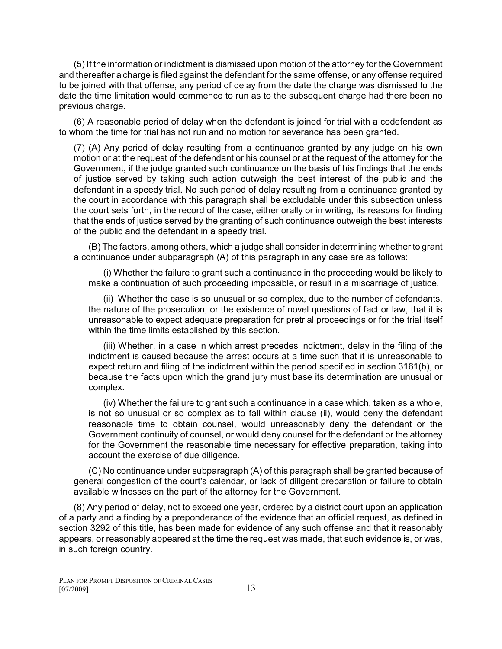(5) If the information or indictment is dismissed upon motion of the attorney for the Government and thereafter a charge is filed against the defendant for the same offense, or any offense required to be joined with that offense, any period of delay from the date the charge was dismissed to the date the time limitation would commence to run as to the subsequent charge had there been no previous charge.

(6) A reasonable period of delay when the defendant is joined for trial with a codefendant as to whom the time for trial has not run and no motion for severance has been granted.

(7) (A) Any period of delay resulting from a continuance granted by any judge on his own motion or at the request of the defendant or his counsel or at the request of the attorney for the Government, if the judge granted such continuance on the basis of his findings that the ends of justice served by taking such action outweigh the best interest of the public and the defendant in a speedy trial. No such period of delay resulting from a continuance granted by the court in accordance with this paragraph shall be excludable under this subsection unless the court sets forth, in the record of the case, either orally or in writing, its reasons for finding that the ends of justice served by the granting of such continuance outweigh the best interests of the public and the defendant in a speedy trial.

(B) The factors, among others, which a judge shall consider in determining whether to grant a continuance under subparagraph (A) of this paragraph in any case are as follows:

(i) Whether the failure to grant such a continuance in the proceeding would be likely to make a continuation of such proceeding impossible, or result in a miscarriage of justice.

(ii) Whether the case is so unusual or so complex, due to the number of defendants, the nature of the prosecution, or the existence of novel questions of fact or law, that it is unreasonable to expect adequate preparation for pretrial proceedings or for the trial itself within the time limits established by this section.

(iii) Whether, in a case in which arrest precedes indictment, delay in the filing of the indictment is caused because the arrest occurs at a time such that it is unreasonable to expect return and filing of the indictment within the period specified in section 3161(b), or because the facts upon which the grand jury must base its determination are unusual or complex.

(iv) Whether the failure to grant such a continuance in a case which, taken as a whole, is not so unusual or so complex as to fall within clause (ii), would deny the defendant reasonable time to obtain counsel, would unreasonably deny the defendant or the Government continuity of counsel, or would deny counsel for the defendant or the attorney for the Government the reasonable time necessary for effective preparation, taking into account the exercise of due diligence.

(C) No continuance under subparagraph (A) of this paragraph shall be granted because of general congestion of the court's calendar, or lack of diligent preparation or failure to obtain available witnesses on the part of the attorney for the Government.

(8) Any period of delay, not to exceed one year, ordered by a district court upon an application of a party and a finding by a preponderance of the evidence that an official request, as defined in section 3292 of this title, has been made for evidence of any such offense and that it reasonably appears, or reasonably appeared at the time the request was made, that such evidence is, or was, in such foreign country.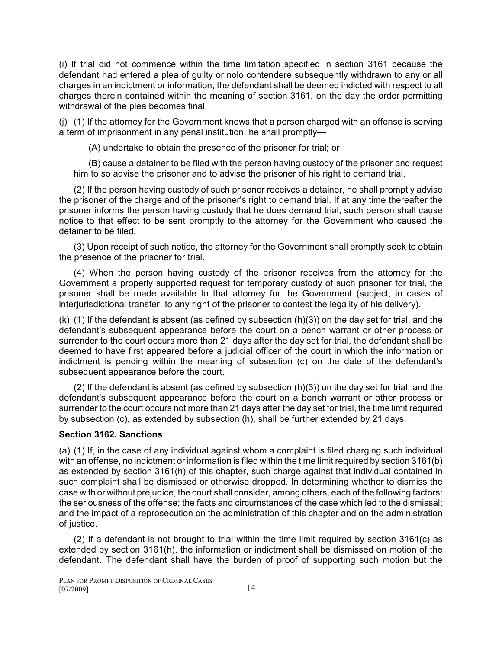(i) If trial did not commence within the time limitation specified in section 3161 because the defendant had entered a plea of guilty or nolo contendere subsequently withdrawn to any or all charges in an indictment or information, the defendant shall be deemed indicted with respect to all charges therein contained within the meaning of section 3161, on the day the order permitting withdrawal of the plea becomes final.

(j) (1) If the attorney for the Government knows that a person charged with an offense is serving a term of imprisonment in any penal institution, he shall promptly—

(A) undertake to obtain the presence of the prisoner for trial; or

(B) cause a detainer to be filed with the person having custody of the prisoner and request him to so advise the prisoner and to advise the prisoner of his right to demand trial.

(2) If the person having custody of such prisoner receives a detainer, he shall promptly advise the prisoner of the charge and of the prisoner's right to demand trial. If at any time thereafter the prisoner informs the person having custody that he does demand trial, such person shall cause notice to that effect to be sent promptly to the attorney for the Government who caused the detainer to be filed.

(3) Upon receipt of such notice, the attorney for the Government shall promptly seek to obtain the presence of the prisoner for trial.

(4) When the person having custody of the prisoner receives from the attorney for the Government a properly supported request for temporary custody of such prisoner for trial, the prisoner shall be made available to that attorney for the Government (subject, in cases of interjurisdictional transfer, to any right of the prisoner to contest the legality of his delivery).

 $(k)$  (1) If the defendant is absent (as defined by subsection  $(h)(3)$ ) on the day set for trial, and the defendant's subsequent appearance before the court on a bench warrant or other process or surrender to the court occurs more than 21 days after the day set for trial, the defendant shall be deemed to have first appeared before a judicial officer of the court in which the information or indictment is pending within the meaning of subsection (c) on the date of the defendant's subsequent appearance before the court.

(2) If the defendant is absent (as defined by subsection (h)(3)) on the day set for trial, and the defendant's subsequent appearance before the court on a bench warrant or other process or surrender to the court occurs not more than 21 days after the day set for trial, the time limit required by subsection (c), as extended by subsection (h), shall be further extended by 21 days.

# **Section 3162. Sanctions**

(a) (1) If, in the case of any individual against whom a complaint is filed charging such individual with an offense, no indictment or information is filed within the time limit required by section 3161(b) as extended by section 3161(h) of this chapter, such charge against that individual contained in such complaint shall be dismissed or otherwise dropped. In determining whether to dismiss the case with or without prejudice, the court shall consider, among others, each of the following factors: the seriousness of the offense; the facts and circumstances of the case which led to the dismissal; and the impact of a reprosecution on the administration of this chapter and on the administration of justice.

(2) If a defendant is not brought to trial within the time limit required by section 3161(c) as extended by section 3161(h), the information or indictment shall be dismissed on motion of the defendant. The defendant shall have the burden of proof of supporting such motion but the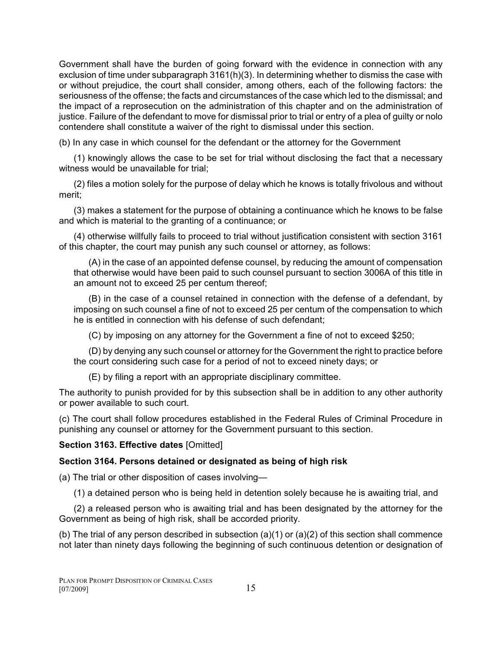Government shall have the burden of going forward with the evidence in connection with any exclusion of time under subparagraph 3161(h)(3). In determining whether to dismiss the case with or without prejudice, the court shall consider, among others, each of the following factors: the seriousness of the offense; the facts and circumstances of the case which led to the dismissal; and the impact of a reprosecution on the administration of this chapter and on the administration of justice. Failure of the defendant to move for dismissal prior to trial or entry of a plea of guilty or nolo contendere shall constitute a waiver of the right to dismissal under this section.

(b) In any case in which counsel for the defendant or the attorney for the Government

(1) knowingly allows the case to be set for trial without disclosing the fact that a necessary witness would be unavailable for trial;

(2) files a motion solely for the purpose of delay which he knows is totally frivolous and without merit;

(3) makes a statement for the purpose of obtaining a continuance which he knows to be false and which is material to the granting of a continuance; or

(4) otherwise willfully fails to proceed to trial without justification consistent with section 3161 of this chapter, the court may punish any such counsel or attorney, as follows:

(A) in the case of an appointed defense counsel, by reducing the amount of compensation that otherwise would have been paid to such counsel pursuant to section 3006A of this title in an amount not to exceed 25 per centum thereof;

(B) in the case of a counsel retained in connection with the defense of a defendant, by imposing on such counsel a fine of not to exceed 25 per centum of the compensation to which he is entitled in connection with his defense of such defendant;

(C) by imposing on any attorney for the Government a fine of not to exceed \$250;

(D) by denying any such counsel or attorney for the Government the right to practice before the court considering such case for a period of not to exceed ninety days; or

(E) by filing a report with an appropriate disciplinary committee.

The authority to punish provided for by this subsection shall be in addition to any other authority or power available to such court.

(c) The court shall follow procedures established in the Federal Rules of Criminal Procedure in punishing any counsel or attorney for the Government pursuant to this section.

# **Section 3163. Effective dates** [Omitted]

# **Section 3164. Persons detained or designated as being of high risk**

(a) The trial or other disposition of cases involving—

(1) a detained person who is being held in detention solely because he is awaiting trial, and

(2) a released person who is awaiting trial and has been designated by the attorney for the Government as being of high risk, shall be accorded priority.

(b) The trial of any person described in subsection (a)(1) or (a)(2) of this section shall commence not later than ninety days following the beginning of such continuous detention or designation of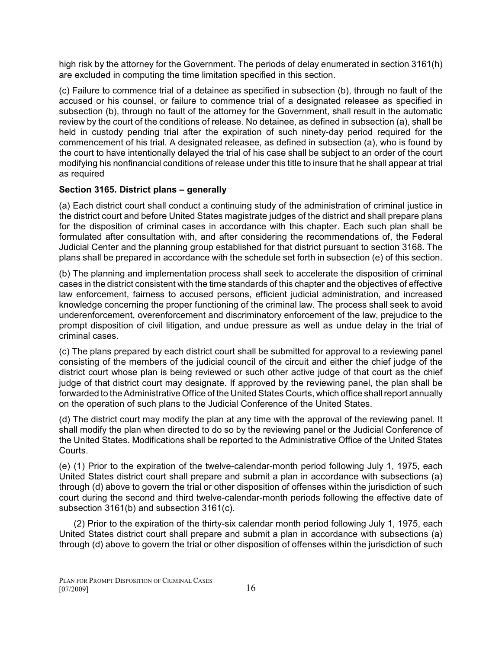high risk by the attorney for the Government. The periods of delay enumerated in section 3161(h) are excluded in computing the time limitation specified in this section.

(c) Failure to commence trial of a detainee as specified in subsection (b), through no fault of the accused or his counsel, or failure to commence trial of a designated releasee as specified in subsection (b), through no fault of the attorney for the Government, shall result in the automatic review by the court of the conditions of release. No detainee, as defined in subsection (a), shall be held in custody pending trial after the expiration of such ninety-day period required for the commencement of his trial. A designated releasee, as defined in subsection (a), who is found by the court to have intentionally delayed the trial of his case shall be subject to an order of the court modifying his nonfinancial conditions of release under this title to insure that he shall appear at trial as required

#### **Section 3165. District plans – generally**

(a) Each district court shall conduct a continuing study of the administration of criminal justice in the district court and before United States magistrate judges of the district and shall prepare plans for the disposition of criminal cases in accordance with this chapter. Each such plan shall be formulated after consultation with, and after considering the recommendations of, the Federal Judicial Center and the planning group established for that district pursuant to section 3168. The plans shall be prepared in accordance with the schedule set forth in subsection (e) of this section.

(b) The planning and implementation process shall seek to accelerate the disposition of criminal cases in the district consistent with the time standards of this chapter and the objectives of effective law enforcement, fairness to accused persons, efficient judicial administration, and increased knowledge concerning the proper functioning of the criminal law. The process shall seek to avoid underenforcement, overenforcement and discriminatory enforcement of the law, prejudice to the prompt disposition of civil litigation, and undue pressure as well as undue delay in the trial of criminal cases.

(c) The plans prepared by each district court shall be submitted for approval to a reviewing panel consisting of the members of the judicial council of the circuit and either the chief judge of the district court whose plan is being reviewed or such other active judge of that court as the chief judge of that district court may designate. If approved by the reviewing panel, the plan shall be forwarded to the Administrative Office of the United States Courts, which office shall report annually on the operation of such plans to the Judicial Conference of the United States.

(d) The district court may modify the plan at any time with the approval of the reviewing panel. It shall modify the plan when directed to do so by the reviewing panel or the Judicial Conference of the United States. Modifications shall be reported to the Administrative Office of the United States Courts.

(e) (1) Prior to the expiration of the twelve-calendar-month period following July 1, 1975, each United States district court shall prepare and submit a plan in accordance with subsections (a) through (d) above to govern the trial or other disposition of offenses within the jurisdiction of such court during the second and third twelve-calendar-month periods following the effective date of subsection 3161(b) and subsection 3161(c).

(2) Prior to the expiration of the thirty-six calendar month period following July 1, 1975, each United States district court shall prepare and submit a plan in accordance with subsections (a) through (d) above to govern the trial or other disposition of offenses within the jurisdiction of such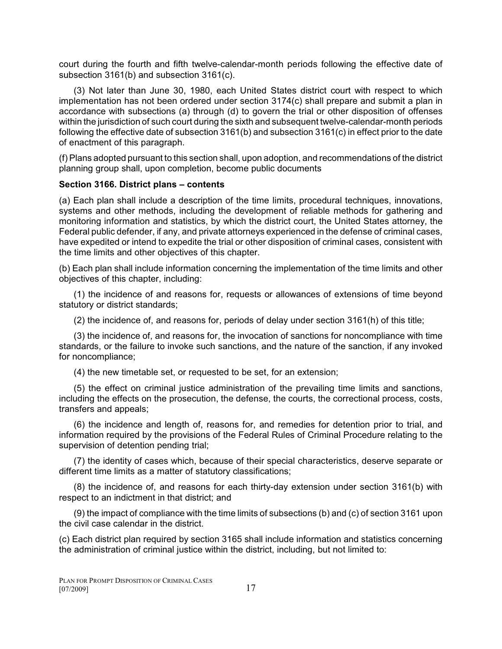court during the fourth and fifth twelve-calendar-month periods following the effective date of subsection 3161(b) and subsection 3161(c).

(3) Not later than June 30, 1980, each United States district court with respect to which implementation has not been ordered under section 3174(c) shall prepare and submit a plan in accordance with subsections (a) through (d) to govern the trial or other disposition of offenses within the jurisdiction of such court during the sixth and subsequent twelve-calendar-month periods following the effective date of subsection 3161(b) and subsection 3161(c) in effect prior to the date of enactment of this paragraph.

(f) Plans adopted pursuant to this section shall, upon adoption, and recommendations of the district planning group shall, upon completion, become public documents

#### **Section 3166. District plans – contents**

(a) Each plan shall include a description of the time limits, procedural techniques, innovations, systems and other methods, including the development of reliable methods for gathering and monitoring information and statistics, by which the district court, the United States attorney, the Federal public defender, if any, and private attorneys experienced in the defense of criminal cases, have expedited or intend to expedite the trial or other disposition of criminal cases, consistent with the time limits and other objectives of this chapter.

(b) Each plan shall include information concerning the implementation of the time limits and other objectives of this chapter, including:

(1) the incidence of and reasons for, requests or allowances of extensions of time beyond statutory or district standards;

(2) the incidence of, and reasons for, periods of delay under section 3161(h) of this title;

(3) the incidence of, and reasons for, the invocation of sanctions for noncompliance with time standards, or the failure to invoke such sanctions, and the nature of the sanction, if any invoked for noncompliance;

(4) the new timetable set, or requested to be set, for an extension;

(5) the effect on criminal justice administration of the prevailing time limits and sanctions, including the effects on the prosecution, the defense, the courts, the correctional process, costs, transfers and appeals;

(6) the incidence and length of, reasons for, and remedies for detention prior to trial, and information required by the provisions of the Federal Rules of Criminal Procedure relating to the supervision of detention pending trial;

(7) the identity of cases which, because of their special characteristics, deserve separate or different time limits as a matter of statutory classifications;

(8) the incidence of, and reasons for each thirty-day extension under section 3161(b) with respect to an indictment in that district; and

(9) the impact of compliance with the time limits of subsections (b) and (c) of section 3161 upon the civil case calendar in the district.

(c) Each district plan required by section 3165 shall include information and statistics concerning the administration of criminal justice within the district, including, but not limited to: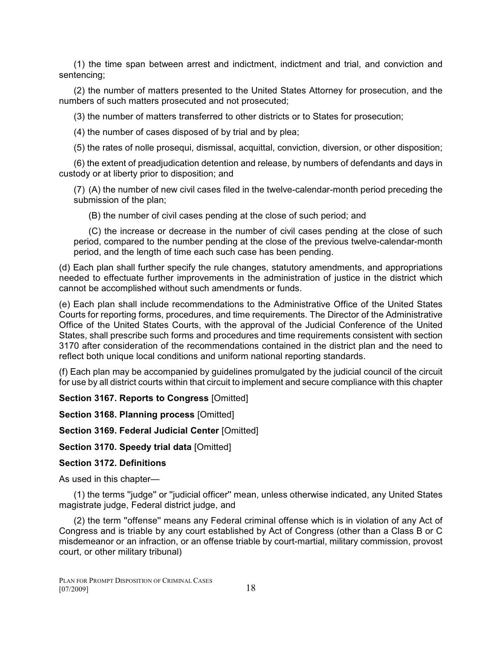(1) the time span between arrest and indictment, indictment and trial, and conviction and sentencing;

(2) the number of matters presented to the United States Attorney for prosecution, and the numbers of such matters prosecuted and not prosecuted;

(3) the number of matters transferred to other districts or to States for prosecution;

(4) the number of cases disposed of by trial and by plea;

(5) the rates of nolle prosequi, dismissal, acquittal, conviction, diversion, or other disposition;

(6) the extent of preadjudication detention and release, by numbers of defendants and days in custody or at liberty prior to disposition; and

(7) (A) the number of new civil cases filed in the twelve-calendar-month period preceding the submission of the plan;

(B) the number of civil cases pending at the close of such period; and

(C) the increase or decrease in the number of civil cases pending at the close of such period, compared to the number pending at the close of the previous twelve-calendar-month period, and the length of time each such case has been pending.

(d) Each plan shall further specify the rule changes, statutory amendments, and appropriations needed to effectuate further improvements in the administration of justice in the district which cannot be accomplished without such amendments or funds.

(e) Each plan shall include recommendations to the Administrative Office of the United States Courts for reporting forms, procedures, and time requirements. The Director of the Administrative Office of the United States Courts, with the approval of the Judicial Conference of the United States, shall prescribe such forms and procedures and time requirements consistent with section 3170 after consideration of the recommendations contained in the district plan and the need to reflect both unique local conditions and uniform national reporting standards.

(f) Each plan may be accompanied by guidelines promulgated by the judicial council of the circuit for use by all district courts within that circuit to implement and secure compliance with this chapter

**Section 3167. Reports to Congress** [Omitted]

**Section 3168. Planning process** [Omitted]

**Section 3169. Federal Judicial Center** [Omitted]

**Section 3170. Speedy trial data** [Omitted]

#### **Section 3172. Definitions**

As used in this chapter—

(1) the terms ''judge'' or ''judicial officer'' mean, unless otherwise indicated, any United States magistrate judge, Federal district judge, and

(2) the term ''offense'' means any Federal criminal offense which is in violation of any Act of Congress and is triable by any court established by Act of Congress (other than a Class B or C misdemeanor or an infraction, or an offense triable by court-martial, military commission, provost court, or other military tribunal)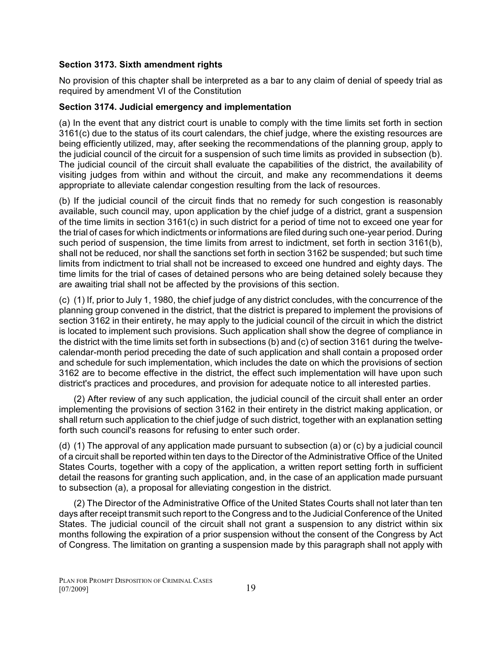#### **Section 3173. Sixth amendment rights**

No provision of this chapter shall be interpreted as a bar to any claim of denial of speedy trial as required by amendment VI of the Constitution

#### **Section 3174. Judicial emergency and implementation**

(a) In the event that any district court is unable to comply with the time limits set forth in section 3161(c) due to the status of its court calendars, the chief judge, where the existing resources are being efficiently utilized, may, after seeking the recommendations of the planning group, apply to the judicial council of the circuit for a suspension of such time limits as provided in subsection (b). The judicial council of the circuit shall evaluate the capabilities of the district, the availability of visiting judges from within and without the circuit, and make any recommendations it deems appropriate to alleviate calendar congestion resulting from the lack of resources.

(b) If the judicial council of the circuit finds that no remedy for such congestion is reasonably available, such council may, upon application by the chief judge of a district, grant a suspension of the time limits in section 3161(c) in such district for a period of time not to exceed one year for the trial of cases for which indictments or informations are filed during such one-year period. During such period of suspension, the time limits from arrest to indictment, set forth in section 3161(b), shall not be reduced, nor shall the sanctions set forth in section 3162 be suspended; but such time limits from indictment to trial shall not be increased to exceed one hundred and eighty days. The time limits for the trial of cases of detained persons who are being detained solely because they are awaiting trial shall not be affected by the provisions of this section.

(c) (1) If, prior to July 1, 1980, the chief judge of any district concludes, with the concurrence of the planning group convened in the district, that the district is prepared to implement the provisions of section 3162 in their entirety, he may apply to the judicial council of the circuit in which the district is located to implement such provisions. Such application shall show the degree of compliance in the district with the time limits set forth in subsections (b) and (c) of section 3161 during the twelvecalendar-month period preceding the date of such application and shall contain a proposed order and schedule for such implementation, which includes the date on which the provisions of section 3162 are to become effective in the district, the effect such implementation will have upon such district's practices and procedures, and provision for adequate notice to all interested parties.

(2) After review of any such application, the judicial council of the circuit shall enter an order implementing the provisions of section 3162 in their entirety in the district making application, or shall return such application to the chief judge of such district, together with an explanation setting forth such council's reasons for refusing to enter such order.

(d) (1) The approval of any application made pursuant to subsection (a) or (c) by a judicial council of a circuit shall be reported within ten days to the Director of the Administrative Office of the United States Courts, together with a copy of the application, a written report setting forth in sufficient detail the reasons for granting such application, and, in the case of an application made pursuant to subsection (a), a proposal for alleviating congestion in the district.

(2) The Director of the Administrative Office of the United States Courts shall not later than ten days after receipt transmit such report to the Congress and to the Judicial Conference of the United States. The judicial council of the circuit shall not grant a suspension to any district within six months following the expiration of a prior suspension without the consent of the Congress by Act of Congress. The limitation on granting a suspension made by this paragraph shall not apply with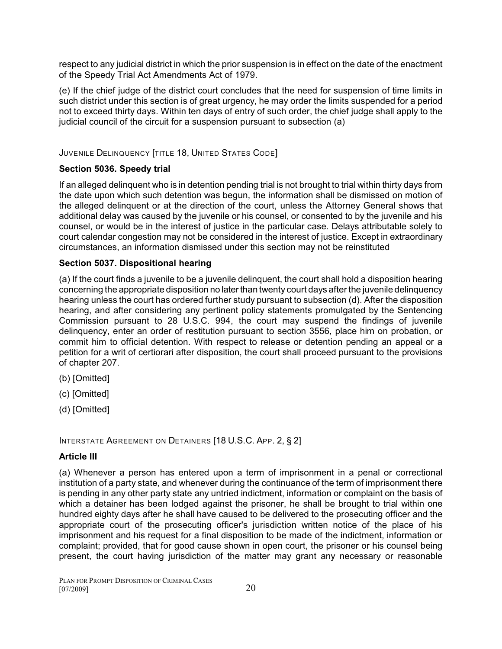respect to any judicial district in which the prior suspension is in effect on the date of the enactment of the Speedy Trial Act Amendments Act of 1979.

(e) If the chief judge of the district court concludes that the need for suspension of time limits in such district under this section is of great urgency, he may order the limits suspended for a period not to exceed thirty days. Within ten days of entry of such order, the chief judge shall apply to the judicial council of the circuit for a suspension pursuant to subsection (a)

# JUVENILE DELINQUENCY [TITLE 18, UNITED STATES CODE]

# **Section 5036. Speedy trial**

If an alleged delinquent who is in detention pending trial is not brought to trial within thirty days from the date upon which such detention was begun, the information shall be dismissed on motion of the alleged delinquent or at the direction of the court, unless the Attorney General shows that additional delay was caused by the juvenile or his counsel, or consented to by the juvenile and his counsel, or would be in the interest of justice in the particular case. Delays attributable solely to court calendar congestion may not be considered in the interest of justice. Except in extraordinary circumstances, an information dismissed under this section may not be reinstituted

#### **Section 5037. Dispositional hearing**

(a) If the court finds a juvenile to be a juvenile delinquent, the court shall hold a disposition hearing concerning the appropriate disposition no later than twenty court days after the juvenile delinquency hearing unless the court has ordered further study pursuant to subsection (d). After the disposition hearing, and after considering any pertinent policy statements promulgated by the Sentencing Commission pursuant to 28 U.S.C. 994, the court may suspend the findings of juvenile delinquency, enter an order of restitution pursuant to section 3556, place him on probation, or commit him to official detention. With respect to release or detention pending an appeal or a petition for a writ of certiorari after disposition, the court shall proceed pursuant to the provisions of chapter 207.

- (b) [Omitted]
- (c) [Omitted]
- (d) [Omitted]

#### INTERSTATE AGREEMENT ON DETAINERS [18 U.S.C. APP. 2, § 2]

#### **Article III**

(a) Whenever a person has entered upon a term of imprisonment in a penal or correctional institution of a party state, and whenever during the continuance of the term of imprisonment there is pending in any other party state any untried indictment, information or complaint on the basis of which a detainer has been lodged against the prisoner, he shall be brought to trial within one hundred eighty days after he shall have caused to be delivered to the prosecuting officer and the appropriate court of the prosecuting officer's jurisdiction written notice of the place of his imprisonment and his request for a final disposition to be made of the indictment, information or complaint; provided, that for good cause shown in open court, the prisoner or his counsel being present, the court having jurisdiction of the matter may grant any necessary or reasonable